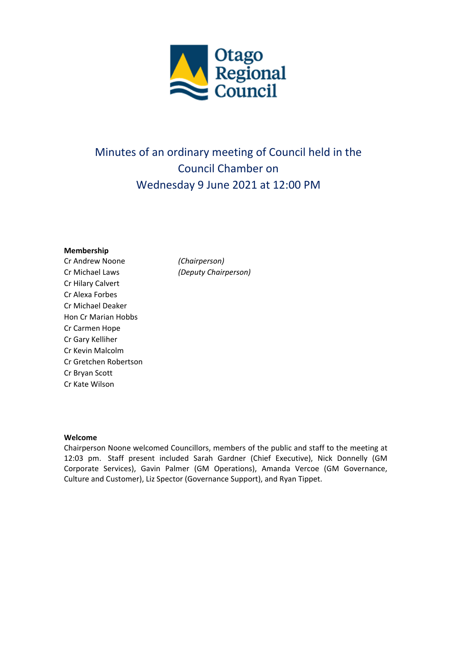

# Minutes of an ordinary meeting of Council held in the Council Chamber on Wednesday 9 June 2021 at 12:00 PM

#### **Membership**

Cr Andrew Noone *(Chairperson)* Cr Michael Laws *(Deputy Chairperson)* Cr Hilary Calvert Cr Alexa Forbes Cr Michael Deaker Hon Cr Marian Hobbs Cr Carmen Hope Cr Gary Kelliher Cr Kevin Malcolm Cr Gretchen Robertson Cr Bryan Scott Cr Kate Wilson

#### **Welcome**

Chairperson Noone welcomed Councillors, members of the public and staff to the meeting at 12:03 pm. Staff present included Sarah Gardner (Chief Executive), Nick Donnelly (GM Corporate Services), Gavin Palmer (GM Operations), Amanda Vercoe (GM Governance, Culture and Customer), Liz Spector (Governance Support), and Ryan Tippet.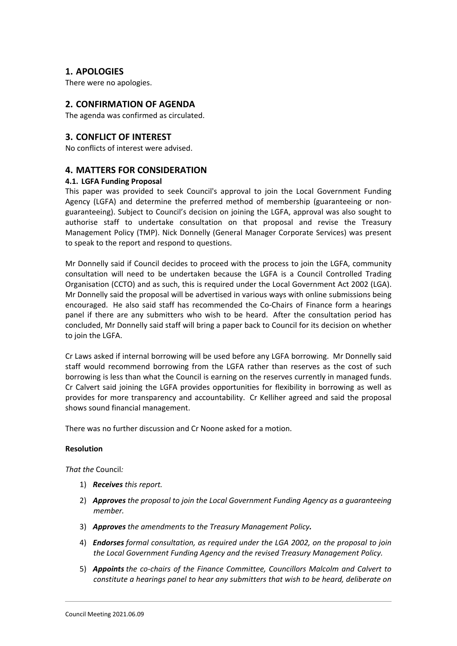## **1. APOLOGIES**

There were no apologies.

## **2. CONFIRMATION OF AGENDA**

The agenda was confirmed as circulated.

## **3. CONFLICT OF INTEREST**

No conflicts of interest were advised.

## **4. MATTERS FOR CONSIDERATION**

### **4.1. LGFA Funding Proposal**

This paper was provided to seek Council's approval to join the Local Government Funding Agency (LGFA) and determine the preferred method of membership (guaranteeing or non‐ guaranteeing). Subject to Council's decision on joining the LGFA, approval was also sought to authorise staff to undertake consultation on that proposal and revise the Treasury Management Policy (TMP). Nick Donnelly (General Manager Corporate Services) was present to speak to the report and respond to questions.

Mr Donnelly said if Council decides to proceed with the process to join the LGFA, community consultation will need to be undertaken because the LGFA is a Council Controlled Trading Organisation (CCTO) and as such, this is required under the Local Government Act 2002 (LGA). Mr Donnelly said the proposal will be advertised in various ways with online submissions being encouraged. He also said staff has recommended the Co‐Chairs of Finance form a hearings panel if there are any submitters who wish to be heard. After the consultation period has concluded, Mr Donnelly said staff will bring a paper back to Council for its decision on whether to join the LGFA.

Cr Laws asked if internal borrowing will be used before any LGFA borrowing. Mr Donnelly said staff would recommend borrowing from the LGFA rather than reserves as the cost of such borrowing is less than what the Council is earning on the reserves currently in managed funds. Cr Calvert said joining the LGFA provides opportunities for flexibility in borrowing as well as provides for more transparency and accountability. Cr Kelliher agreed and said the proposal shows sound financial management.

There was no further discussion and Cr Noone asked for a motion.

### **Resolution**

*That the* Council*:*

- 1) *Receives this report.*
- 2) *Approves the proposal to join the Local Government Funding Agency as a guaranteeing member.*
- 3) *Approves the amendments to the Treasury Management Policy.*
- 4) *Endorses formal consultation, as required under the LGA 2002, on the proposal to join the Local Government Funding Agency and the revised Treasury Management Policy.*
- 5) *Appoints the co‐chairs of the Finance Committee, Councillors Malcolm and Calvert to constitute a hearings panel to hear any submitters that wish to be heard, deliberate on*